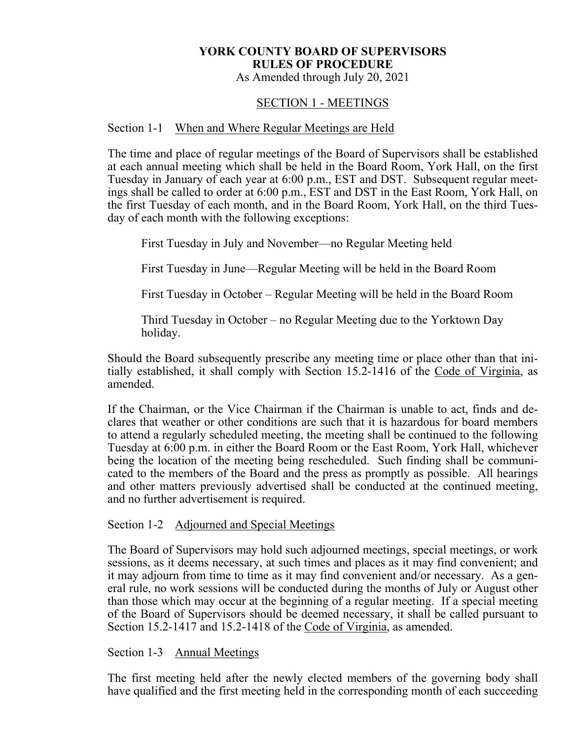# **YORK COUNTY BOARD OF SUPERVISORS RULES OF PROCEDURE**

As Amended through July 20, 2021

# SECTION 1 - MEETINGS

#### Section 1-1 When and Where Regular Meetings are Held

The time and place of regular meetings of the Board of Supervisors shall be established at each annual meeting which shall be held in the Board Room, York Hall, on the first Tuesday in January of each year at 6:00 p.m., EST and DST. Subsequent regular meetings shall be called to order at 6:00 p.m., EST and DST in the East Room, York Hall, on the first Tuesday of each month, and in the Board Room, York Hall, on the third Tuesday of each month with the following exceptions:

First Tuesday in July and November—no Regular Meeting held

First Tuesday in June—Regular Meeting will be held in the Board Room

First Tuesday in October – Regular Meeting will be held in the Board Room

Third Tuesday in October – no Regular Meeting due to the Yorktown Day holiday.

Should the Board subsequently prescribe any meeting time or place other than that initially established, it shall comply with Section 15.2-1416 of the Code of Virginia, as amended.

If the Chairman, or the Vice Chairman if the Chairman is unable to act, finds and declares that weather or other conditions are such that it is hazardous for board members to attend a regularly scheduled meeting, the meeting shall be continued to the following Tuesday at 6:00 p.m. in either the Board Room or the East Room, York Hall, whichever being the location of the meeting being rescheduled. Such finding shall be communicated to the members of the Board and the press as promptly as possible. All hearings and other matters previously advertised shall be conducted at the continued meeting, and no further advertisement is required.

Section 1-2 Adjourned and Special Meetings

The Board of Supervisors may hold such adjourned meetings, special meetings, or work sessions, as it deems necessary, at such times and places as it may find convenient; and it may adjourn from time to time as it may find convenient and/or necessary. As a general rule, no work sessions will be conducted during the months of July or August other than those which may occur at the beginning of a regular meeting. If a special meeting of the Board of Supervisors should be deemed necessary, it shall be called pursuant to Section 15.2-1417 and 15.2-1418 of the Code of Virginia, as amended.

## Section 1-3 Annual Meetings

The first meeting held after the newly elected members of the governing body shall have qualified and the first meeting held in the corresponding month of each succeeding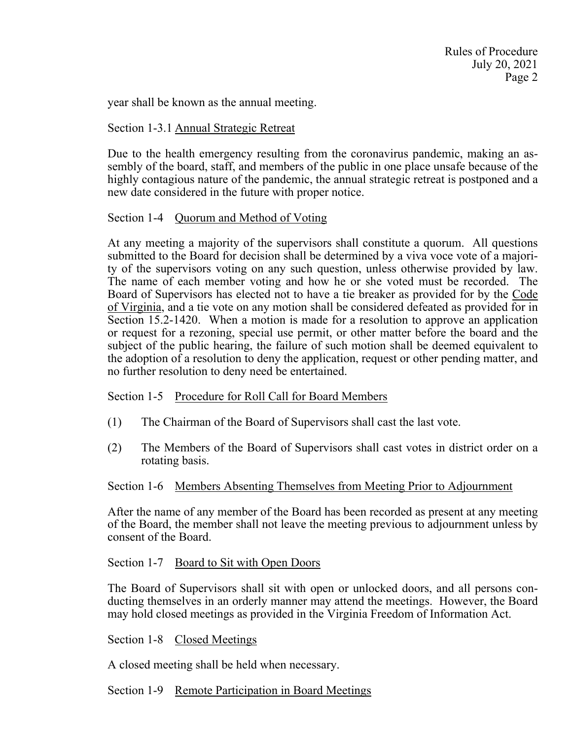year shall be known as the annual meeting.

#### Section 1-3.1 Annual Strategic Retreat

Due to the health emergency resulting from the coronavirus pandemic, making an assembly of the board, staff, and members of the public in one place unsafe because of the highly contagious nature of the pandemic, the annual strategic retreat is postponed and a new date considered in the future with proper notice.

#### Section 1-4 Quorum and Method of Voting

At any meeting a majority of the supervisors shall constitute a quorum. All questions submitted to the Board for decision shall be determined by a viva voce vote of a majority of the supervisors voting on any such question, unless otherwise provided by law. The name of each member voting and how he or she voted must be recorded. The Board of Supervisors has elected not to have a tie breaker as provided for by the Code of Virginia, and a tie vote on any motion shall be considered defeated as provided for in Section 15.2-1420. When a motion is made for a resolution to approve an application or request for a rezoning, special use permit, or other matter before the board and the subject of the public hearing, the failure of such motion shall be deemed equivalent to the adoption of a resolution to deny the application, request or other pending matter, and no further resolution to deny need be entertained.

#### Section 1-5 Procedure for Roll Call for Board Members

- (1) The Chairman of the Board of Supervisors shall cast the last vote.
- (2) The Members of the Board of Supervisors shall cast votes in district order on a rotating basis.

#### Section 1-6 Members Absenting Themselves from Meeting Prior to Adjournment

After the name of any member of the Board has been recorded as present at any meeting of the Board, the member shall not leave the meeting previous to adjournment unless by consent of the Board.

#### Section 1-7 Board to Sit with Open Doors

The Board of Supervisors shall sit with open or unlocked doors, and all persons conducting themselves in an orderly manner may attend the meetings. However, the Board may hold closed meetings as provided in the Virginia Freedom of Information Act.

#### Section 1-8 Closed Meetings

A closed meeting shall be held when necessary.

#### Section 1-9 Remote Participation in Board Meetings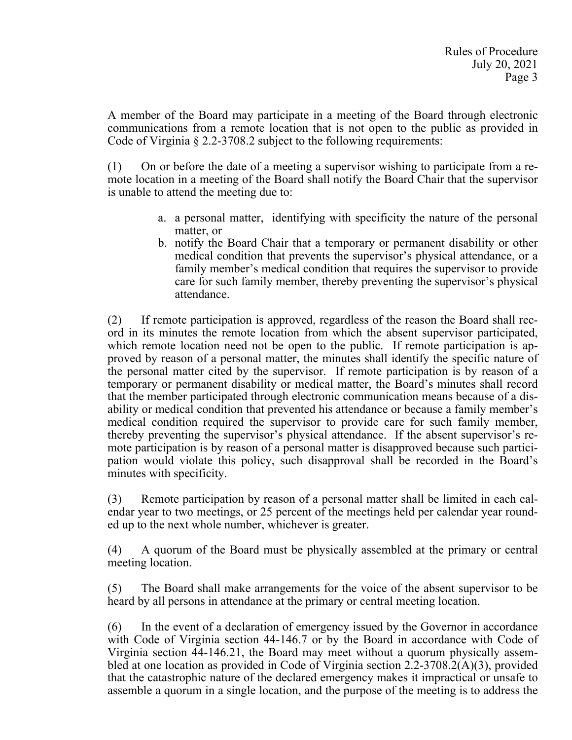A member of the Board may participate in a meeting of the Board through electronic communications from a remote location that is not open to the public as provided in Code of Virginia § 2.2-3708.2 subject to the following requirements:

(1) On or before the date of a meeting a supervisor wishing to participate from a remote location in a meeting of the Board shall notify the Board Chair that the supervisor is unable to attend the meeting due to:

- a. a personal matter, identifying with specificity the nature of the personal matter, or
- b. notify the Board Chair that a temporary or permanent disability or other medical condition that prevents the supervisor's physical attendance, or a family member's medical condition that requires the supervisor to provide care for such family member, thereby preventing the supervisor's physical attendance.

(2) If remote participation is approved, regardless of the reason the Board shall record in its minutes the remote location from which the absent supervisor participated, which remote location need not be open to the public. If remote participation is approved by reason of a personal matter, the minutes shall identify the specific nature of the personal matter cited by the supervisor. If remote participation is by reason of a temporary or permanent disability or medical matter, the Board's minutes shall record that the member participated through electronic communication means because of a disability or medical condition that prevented his attendance or because a family member's medical condition required the supervisor to provide care for such family member, thereby preventing the supervisor's physical attendance. If the absent supervisor's remote participation is by reason of a personal matter is disapproved because such participation would violate this policy, such disapproval shall be recorded in the Board's minutes with specificity.

(3) Remote participation by reason of a personal matter shall be limited in each calendar year to two meetings, or 25 percent of the meetings held per calendar year rounded up to the next whole number, whichever is greater.

(4) A quorum of the Board must be physically assembled at the primary or central meeting location.

(5) The Board shall make arrangements for the voice of the absent supervisor to be heard by all persons in attendance at the primary or central meeting location.

(6) In the event of a declaration of emergency issued by the Governor in accordance with Code of Virginia section 44-146.7 or by the Board in accordance with Code of Virginia section [44-146.21](https://44-146.21), the Board may meet without a quorum physically assembled at one location as provided in Code of Virginia section 2.2-3708.2(A)(3), provided that the catastrophic nature of the declared emergency makes it impractical or unsafe to assemble a quorum in a single location, and the purpose of the meeting is to address the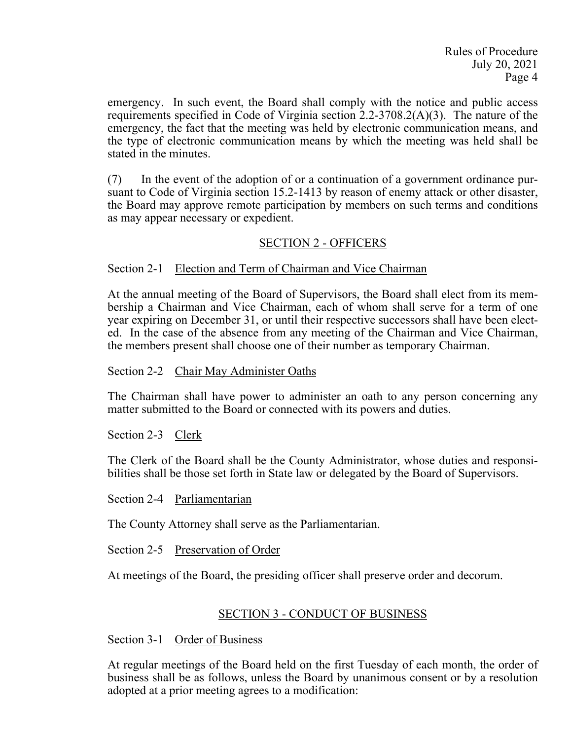emergency. In such event, the Board shall comply with the notice and public access requirements specified in Code of Virginia section 2.2-3708.2(A)(3). The nature of the emergency, the fact that the meeting was held by electronic communication means, and the type of electronic communication means by which the meeting was held shall be stated in the minutes.

(7) In the event of the adoption of or a continuation of a government ordinance pursuant to Code of Virginia section 15.2-1413 by reason of enemy attack or other disaster, the Board may approve remote participation by members on such terms and conditions as may appear necessary or expedient.

## SECTION 2 - OFFICERS

## Section 2-1 Election and Term of Chairman and Vice Chairman

At the annual meeting of the Board of Supervisors, the Board shall elect from its membership a Chairman and Vice Chairman, each of whom shall serve for a term of one year expiring on December 31, or until their respective successors shall have been elected. In the case of the absence from any meeting of the Chairman and Vice Chairman, the members present shall choose one of their number as temporary Chairman.

#### Section 2-2 Chair May Administer Oaths

The Chairman shall have power to administer an oath to any person concerning any matter submitted to the Board or connected with its powers and duties.

Section 2-3 Clerk

The Clerk of the Board shall be the County Administrator, whose duties and responsibilities shall be those set forth in State law or delegated by the Board of Supervisors.

Section 2-4 Parliamentarian

The County Attorney shall serve as the Parliamentarian.

Section 2-5 Preservation of Order

At meetings of the Board, the presiding officer shall preserve order and decorum.

## SECTION 3 - CONDUCT OF BUSINESS

Section 3-1 Order of Business

At regular meetings of the Board held on the first Tuesday of each month, the order of business shall be as follows, unless the Board by unanimous consent or by a resolution adopted at a prior meeting agrees to a modification: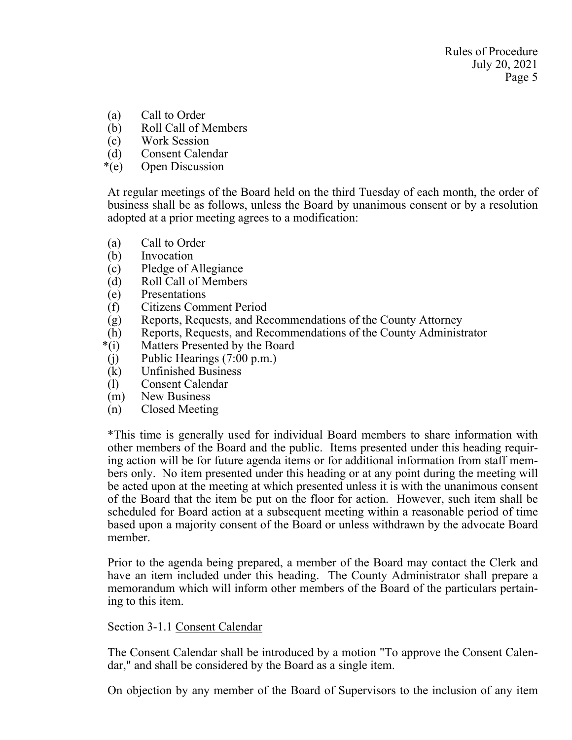- (a) Call to Order
- (b) Roll Call of Members
- (c) Work Session
- (d) Consent Calendar
- \*(e) Open Discussion

At regular meetings of the Board held on the third Tuesday of each month, the order of business shall be as follows, unless the Board by unanimous consent or by a resolution adopted at a prior meeting agrees to a modification:

- (a) Call to Order
- (b) Invocation
- (c) Pledge of Allegiance
- (d) Roll Call of Members
- (e) Presentations
- (f) Citizens Comment Period
- (g) Reports, Requests, and Recommendations of the County Attorney
- (h) Reports, Requests, and Recommendations of the County Administrator
- \*(i) Matters Presented by the Board
- (j) Public Hearings (7:00 p.m.)
- (k) Unfinished Business
- (l) Consent Calendar
- (m) New Business
- (n) Closed Meeting

\*This time is generally used for individual Board members to share information with other members of the Board and the public. Items presented under this heading requiring action will be for future agenda items or for additional information from staff members only. No item presented under this heading or at any point during the meeting will be acted upon at the meeting at which presented unless it is with the unanimous consent of the Board that the item be put on the floor for action. However, such item shall be scheduled for Board action at a subsequent meeting within a reasonable period of time based upon a majority consent of the Board or unless withdrawn by the advocate Board member.

Prior to the agenda being prepared, a member of the Board may contact the Clerk and have an item included under this heading. The County Administrator shall prepare a memorandum which will inform other members of the Board of the particulars pertaining to this item.

# Section 3-1.1 Consent Calendar

The Consent Calendar shall be introduced by a motion "To approve the Consent Calendar," and shall be considered by the Board as a single item.

On objection by any member of the Board of Supervisors to the inclusion of any item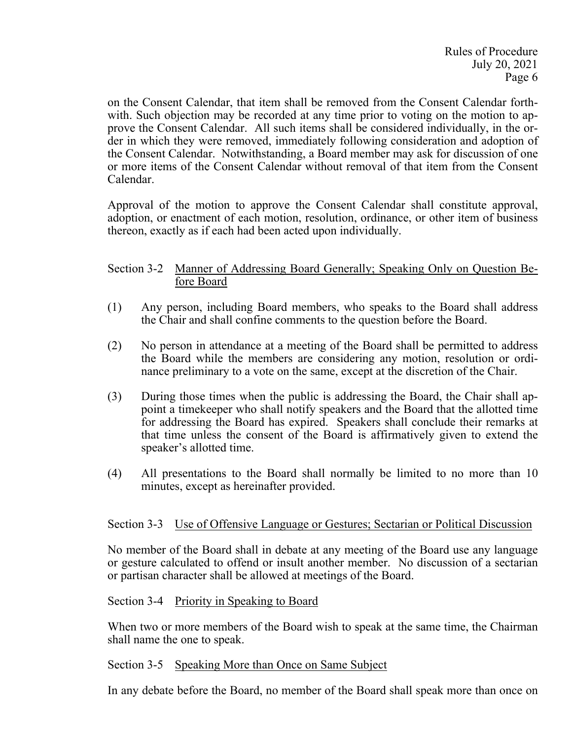on the Consent Calendar, that item shall be removed from the Consent Calendar forthwith. Such objection may be recorded at any time prior to voting on the motion to approve the Consent Calendar. All such items shall be considered individually, in the order in which they were removed, immediately following consideration and adoption of the Consent Calendar. Notwithstanding, a Board member may ask for discussion of one or more items of the Consent Calendar without removal of that item from the Consent Calendar.

Approval of the motion to approve the Consent Calendar shall constitute approval, adoption, or enactment of each motion, resolution, ordinance, or other item of business thereon, exactly as if each had been acted upon individually.

## Section 3-2 Manner of Addressing Board Generally; Speaking Only on Question Before Board

- (1) Any person, including Board members, who speaks to the Board shall address the Chair and shall confine comments to the question before the Board.
- (2) No person in attendance at a meeting of the Board shall be permitted to address the Board while the members are considering any motion, resolution or ordinance preliminary to a vote on the same, except at the discretion of the Chair.
- (3) During those times when the public is addressing the Board, the Chair shall appoint a timekeeper who shall notify speakers and the Board that the allotted time for addressing the Board has expired. Speakers shall conclude their remarks at that time unless the consent of the Board is affirmatively given to extend the speaker's allotted time.
- (4) All presentations to the Board shall normally be limited to no more than 10 minutes, except as hereinafter provided.

## Section 3-3 Use of Offensive Language or Gestures; Sectarian or Political Discussion

No member of the Board shall in debate at any meeting of the Board use any language or gesture calculated to offend or insult another member. No discussion of a sectarian or partisan character shall be allowed at meetings of the Board.

## Section 3-4 Priority in Speaking to Board

When two or more members of the Board wish to speak at the same time, the Chairman shall name the one to speak.

## Section 3-5 Speaking More than Once on Same Subject

In any debate before the Board, no member of the Board shall speak more than once on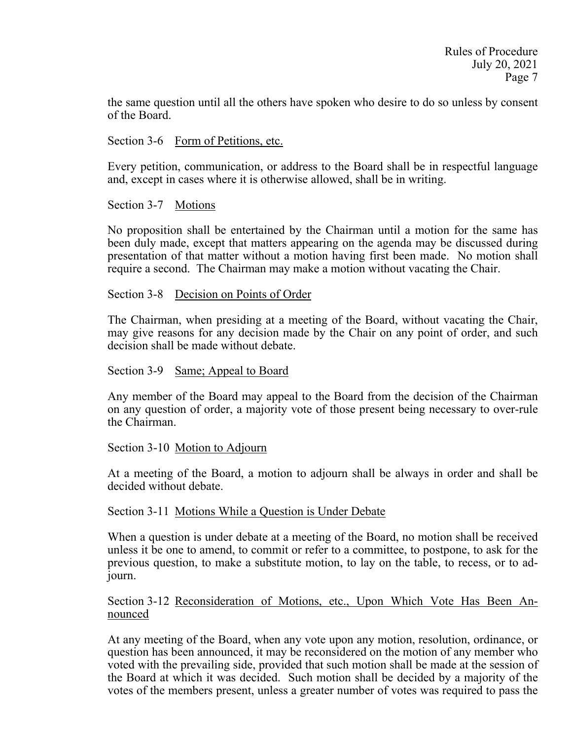the same question until all the others have spoken who desire to do so unless by consent of the Board.

Section 3-6 Form of Petitions, etc.

Every petition, communication, or address to the Board shall be in respectful language and, except in cases where it is otherwise allowed, shall be in writing.

Section 3-7 Motions

No proposition shall be entertained by the Chairman until a motion for the same has been duly made, except that matters appearing on the agenda may be discussed during presentation of that matter without a motion having first been made. No motion shall require a second. The Chairman may make a motion without vacating the Chair.

Section 3-8 Decision on Points of Order

The Chairman, when presiding at a meeting of the Board, without vacating the Chair, may give reasons for any decision made by the Chair on any point of order, and such decision shall be made without debate.

Section 3-9 Same; Appeal to Board

Any member of the Board may appeal to the Board from the decision of the Chairman on any question of order, a majority vote of those present being necessary to over-rule the Chairman.

Section 3-10 Motion to Adjourn

At a meeting of the Board, a motion to adjourn shall be always in order and shall be decided without debate.

Section 3-11 Motions While a Question is Under Debate

When a question is under debate at a meeting of the Board, no motion shall be received unless it be one to amend, to commit or refer to a committee, to postpone, to ask for the previous question, to make a substitute motion, to lay on the table, to recess, or to adjourn.

Section 3-12 Reconsideration of Motions, etc., Upon Which Vote Has Been Announced

At any meeting of the Board, when any vote upon any motion, resolution, ordinance, or question has been announced, it may be reconsidered on the motion of any member who voted with the prevailing side, provided that such motion shall be made at the session of the Board at which it was decided. Such motion shall be decided by a majority of the votes of the members present, unless a greater number of votes was required to pass the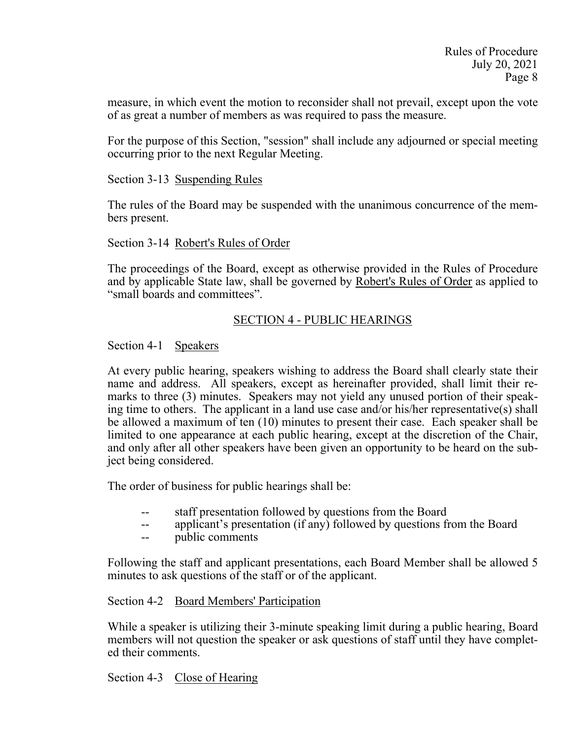measure, in which event the motion to reconsider shall not prevail, except upon the vote of as great a number of members as was required to pass the measure.

For the purpose of this Section, "session" shall include any adjourned or special meeting occurring prior to the next Regular Meeting.

## Section 3-13 Suspending Rules

The rules of the Board may be suspended with the unanimous concurrence of the members present.

## Section 3-14 Robert's Rules of Order

The proceedings of the Board, except as otherwise provided in the Rules of Procedure and by applicable State law, shall be governed by Robert's Rules of Order as applied to "small boards and committees".

# SECTION 4 - PUBLIC HEARINGS

# Section 4-1 Speakers

At every public hearing, speakers wishing to address the Board shall clearly state their name and address. All speakers, except as hereinafter provided, shall limit their remarks to three (3) minutes. Speakers may not yield any unused portion of their speaking time to others. The applicant in a land use case and/or his/her representative(s) shall be allowed a maximum of ten (10) minutes to present their case. Each speaker shall be limited to one appearance at each public hearing, except at the discretion of the Chair, and only after all other speakers have been given an opportunity to be heard on the subject being considered.

The order of business for public hearings shall be:

- staff presentation followed by questions from the Board
- -- applicant's presentation (if any) followed by questions from the Board
- -- public comments

Following the staff and applicant presentations, each Board Member shall be allowed 5 minutes to ask questions of the staff or of the applicant.

## Section 4-2 Board Members' Participation

While a speaker is utilizing their 3-minute speaking limit during a public hearing, Board members will not question the speaker or ask questions of staff until they have completed their comments.

Section 4-3 Close of Hearing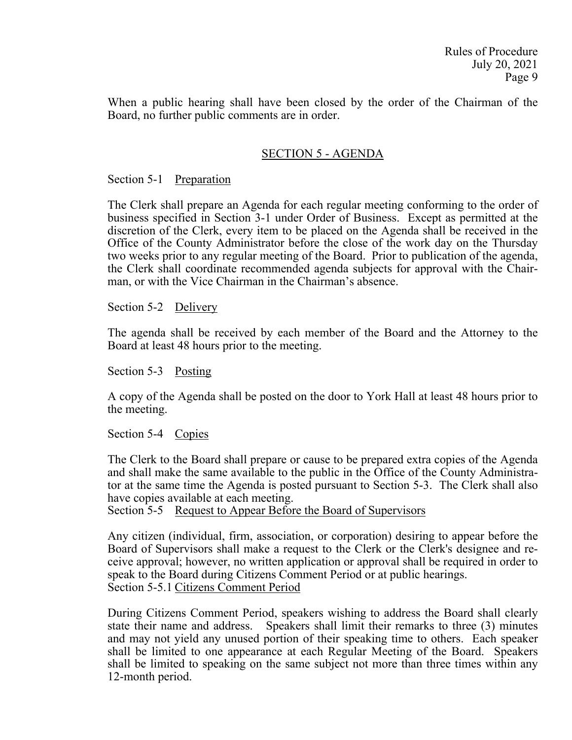When a public hearing shall have been closed by the order of the Chairman of the Board, no further public comments are in order.

## SECTION 5 - AGENDA

#### Section 5-1 Preparation

The Clerk shall prepare an Agenda for each regular meeting conforming to the order of business specified in Section 3-1 under Order of Business. Except as permitted at the discretion of the Clerk, every item to be placed on the Agenda shall be received in the Office of the County Administrator before the close of the work day on the Thursday two weeks prior to any regular meeting of the Board. Prior to publication of the agenda, the Clerk shall coordinate recommended agenda subjects for approval with the Chairman, or with the Vice Chairman in the Chairman's absence.

Section 5-2 Delivery

The agenda shall be received by each member of the Board and the Attorney to the Board at least 48 hours prior to the meeting.

Section 5-3 Posting

A copy of the Agenda shall be posted on the door to York Hall at least 48 hours prior to the meeting.

Section 5-4 Copies

The Clerk to the Board shall prepare or cause to be prepared extra copies of the Agenda and shall make the same available to the public in the Office of the County Administrator at the same time the Agenda is posted pursuant to Section 5-3. The Clerk shall also have copies available at each meeting.

Section 5-5 Request to Appear Before the Board of Supervisors

Any citizen (individual, firm, association, or corporation) desiring to appear before the Board of Supervisors shall make a request to the Clerk or the Clerk's designee and receive approval; however, no written application or approval shall be required in order to speak to the Board during Citizens Comment Period or at public hearings. Section 5-5.1 Citizens Comment Period

During Citizens Comment Period, speakers wishing to address the Board shall clearly state their name and address. Speakers shall limit their remarks to three (3) minutes and may not yield any unused portion of their speaking time to others. Each speaker shall be limited to one appearance at each Regular Meeting of the Board. Speakers shall be limited to speaking on the same subject not more than three times within any 12-month period.